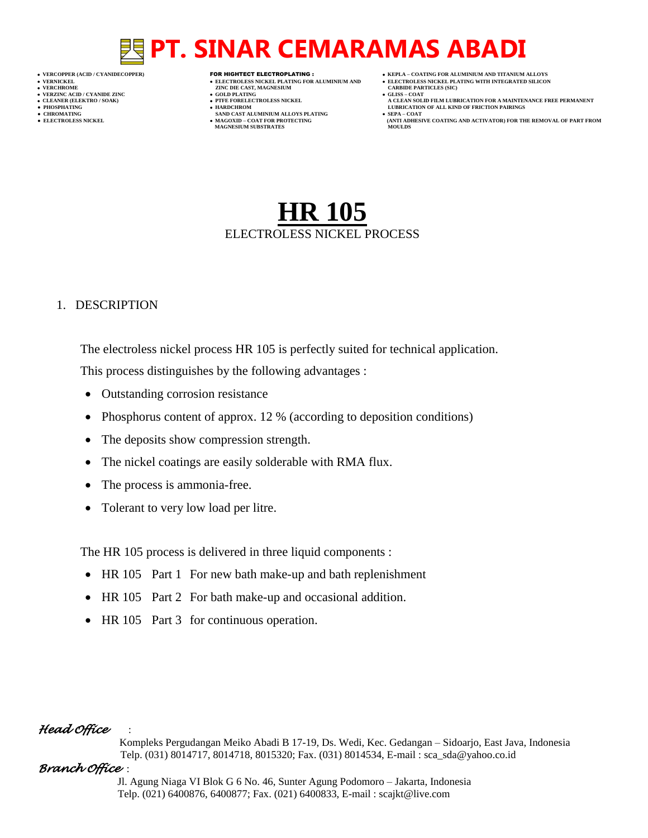- 
- 
- 
- 
- 
- -

- **VERT ASSESSED ASSESSED ASSESSED ASSESSED ASSESSED ASSESSED ASSESSED ASSESSED ASSESSED ASSESSED ASSESSED ASSESSED ASSESSED ASSESSED ASSESSED ASSESSED ASSESSED ASSESSED ASSESSED ASSESSED ASSESSED ASSESSED ASSESSED ASSESSED**
- **VERZINC ACID / CYANIDE ZINC GOLD PLATING GLISS – COAT**
	-
- **● CHROMATING SAND CAST ALUMINIUM ALLOYS PLATING SEPA – COAT MAGNESIUM SUBSTRATES MOULDS**
- **VERCOPPER (ACID / CYANIDECOPPER)** FOR HIGHTECT ELECTROPLATING :  **KEPLA – COATING FOR ALUMINIUM AND TITANIUM ALLOYS**
- **VERNICKEL ELECTROLESS NICKEL PLATING FOR ALUMINIUM AND ELECTROLESS NICKEL PLATING WITH INTEGRATED SILICON**
	-
- **CLEANER (ELEKTRO / SOAK) PTFE FORELECTROLESS NICKEL A CLEAN SOLID FILM LUBRICATION FOR A MAINTENANCE FREE PERMANENT ● PHOSPHATING HARDCHROM LUBRICATION OF ALL KIND OF FRICTION PAIRINGS**
- **● ELECTROLESS NICKEL MAGOXID – COAT FOR PROTECTING (ANTI ADHESIVE COATING AND ACTIVATOR) FOR THE REMOVAL OF PART FROM**

## **HR 105** ELECTROLESS NICKEL PROCESS

### 1. DESCRIPTION

The electroless nickel process HR 105 is perfectly suited for technical application. This process distinguishes by the following advantages :

- Outstanding corrosion resistance
- Phosphorus content of approx. 12 % (according to deposition conditions)
- The deposits show compression strength.
- The nickel coatings are easily solderable with RMA flux.
- The process is ammonia-free.
- Tolerant to very low load per litre.

The HR 105 process is delivered in three liquid components :

- HR 105 Part 1 For new bath make-up and bath replenishment
- HR 105 Part 2 For bath make-up and occasional addition.
- HR 105 Part 3 for continuous operation.

### *Head Office* :

 Kompleks Pergudangan Meiko Abadi B 17-19, Ds. Wedi, Kec. Gedangan – Sidoarjo, East Java, Indonesia Telp. (031) 8014717, 8014718, 8015320; Fax. (031) 8014534, E-mail : sca\_sda@yahoo.co.id

### *Branch Office* :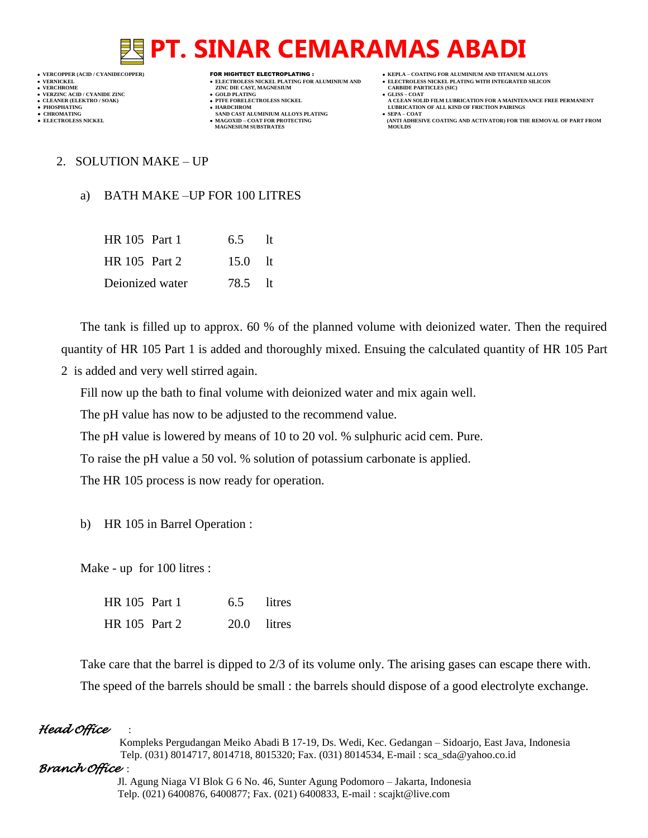**VERCOPPER (ACID / CYANIDECOPPER)** FOR HIGHTECT ELECTROPLATING :  **KEPLA – COATING FOR ALUMINIUM AND TITANIUM ALLOYS**

- 
- 

**VERFORM ZINC DIE CAST, MAGNESIUM CARBIDE PARTICLES (SIC)**<br> **CARBIDE PARTING** 

- **VERZINC ACID / CYANIDE ZINC GOLD PLATING GLISS – COAT**
	-
- **● CHROMATING SAND CAST ALUMINIUM ALLOYS PLATING SEPA – COAT MAGNESIUM SUBSTRATES**
- 
- **VERNICKEL ELECTROLESS NICKEL PLATING FOR ALUMINIUM AND ELECTROLESS NICKEL PLATING WITH INTEGRATED SILICON**
	-
- **CLEANER (ELEKTRO / SOAK) PTFE FORELECTROLESS NICKEL A CLEAN SOLID FILM LUBRICATION FOR A MAINTENANCE FREE PERMANENT ● PHOSPHATING HARDCHROM LUBRICATION OF ALL KIND OF FRICTION PAIRINGS** 
	- **ELECTROLESS AND ACTIVATOR) FOR THE REMOVAL OF PART FROM (ANTI ADHESIVE COATING AND ACTIVATOR) FOR THE REMOVAL OF PART FROM <b>MOULDS**

2. SOLUTION MAKE – UP

## a) BATH MAKE –UP FOR 100 LITRES

| HR 105 Part 1   | 6.5 lt             |  |
|-----------------|--------------------|--|
| HR 105 Part 2   | $15.0 \text{ }$ lt |  |
| Deionized water | 78.5 lt            |  |

The tank is filled up to approx. 60 % of the planned volume with deionized water. Then the required quantity of HR 105 Part 1 is added and thoroughly mixed. Ensuing the calculated quantity of HR 105 Part 2 is added and very well stirred again.

Fill now up the bath to final volume with deionized water and mix again well.

The pH value has now to be adjusted to the recommend value.

The pH value is lowered by means of 10 to 20 vol. % sulphuric acid cem. Pure.

To raise the pH value a 50 vol. % solution of potassium carbonate is applied.

The HR 105 process is now ready for operation.

b) HR 105 in Barrel Operation :

Make - up for 100 litres :

| HR 105 Part 1        | 6.5 litres    |  |
|----------------------|---------------|--|
| <b>HR</b> 105 Part 2 | $20.0$ litres |  |

Take care that the barrel is dipped to 2/3 of its volume only. The arising gases can escape there with. The speed of the barrels should be small : the barrels should dispose of a good electrolyte exchange.

### *Head Office* :

 Kompleks Pergudangan Meiko Abadi B 17-19, Ds. Wedi, Kec. Gedangan – Sidoarjo, East Java, Indonesia Telp. (031) 8014717, 8014718, 8015320; Fax. (031) 8014534, E-mail : sca\_sda@yahoo.co.id

### *Branch Office* :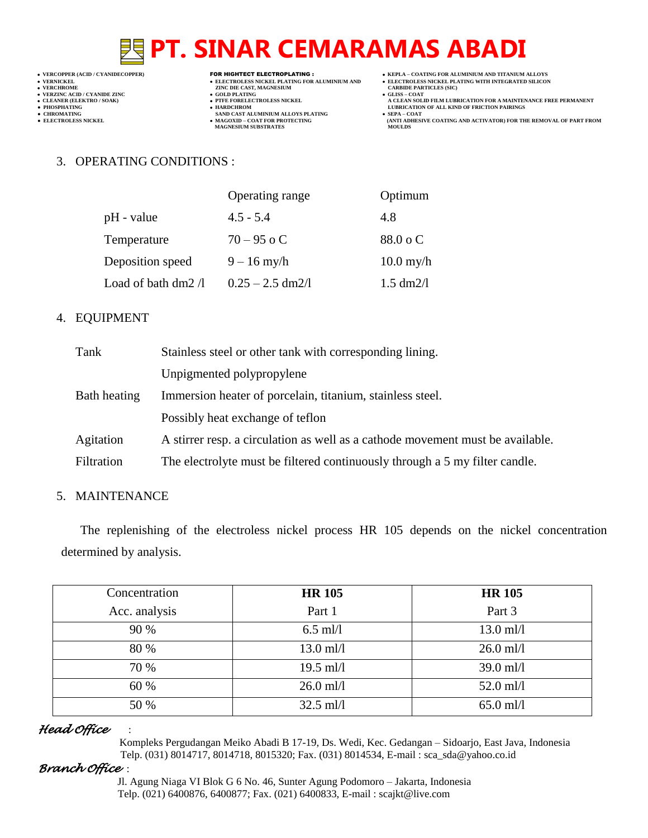- 
- 

- 
- 

- **VERCHROLES NICKEL PLATING FOR ALUMINIUM AND**<br> **VELECTROLES NICKEL PLATING FOR ALUMINIUM AND**<br> **VERCHROLES (SILD)**<br> **CARBIDE PARTING**<br> **CARBIDE PARTING**
- **v GOLD PLATING**<br>**• PTFE FORELECTROLESS NICKEL**
- 
- **● CHROMATING SAND CAST ALUMINIUM ALLOYS PLATING SEPA – COAT MAGNESIUM SUBSTRATES MOULDS**
- **VERCOPPER (ACID / CYANIDECOPPER)** FOR HIGHTECT ELECTROPLATING :  **KEPLA – COATING FOR ALUMINIUM AND TITANIUM ALLOYS**
	-
	-
- ELECTROLESS NICKEL PLATING FOR ALUMINIUM AND<br>
VERNICKEL PLATING FOR ALUMINIUM AND<br>
VERCHROME PLATING WITH INTEGRATED SILICON<br>
VERZINC ACID PLATING WITH INTEGRATED SILICON<br>
CLEAN SOLID FILM LUBRICATION FOR A MAINTEN **A CLEAN SOLID FILM LUBRICATION FOR A MAINTENANCE FREE PERMANENT ● PHOSPHATING HARDCHROM LUBRICATION OF ALL KIND OF FRICTION PAIRINGS**
- **● ELECTROLESS NICKEL MAGOXID – COAT FOR PROTECTING (ANTI ADHESIVE COATING AND ACTIVATOR) FOR THE REMOVAL OF PART FROM**

### 3. OPERATING CONDITIONS :

|                            | Operating range    | Optimum             |
|----------------------------|--------------------|---------------------|
| pH - value                 | $4.5 - 5.4$        | 4.8                 |
| Temperature                | $70 - 95$ o C      | 88.0 o C            |
| Deposition speed           | $9 - 16$ my/h      | $10.0$ my/h         |
| Load of bath dm2 $\Lambda$ | $0.25 - 2.5$ dm2/l | $1.5 \text{ dm}2/l$ |

### 4. EQUIPMENT

| Tank         | Stainless steel or other tank with corresponding lining.                       |  |
|--------------|--------------------------------------------------------------------------------|--|
|              | Unpigmented polypropylene                                                      |  |
| Bath heating | Immersion heater of porcelain, titanium, stainless steel.                      |  |
|              | Possibly heat exchange of tertion                                              |  |
| Agitation    | A stirrer resp. a circulation as well as a cathode movement must be available. |  |
| Filtration   | The electrolyte must be filtered continuously through a 5 my filter candle.    |  |

### 5. MAINTENANCE

The replenishing of the electroless nickel process HR 105 depends on the nickel concentration determined by analysis.

| Concentration | <b>HR 105</b> | <b>HR 105</b> |
|---------------|---------------|---------------|
| Acc. analysis | Part 1        | Part 3        |
| 90 %          | $6.5$ ml/l    | $13.0$ ml/l   |
| 80 %          | $13.0$ ml/l   | $26.0$ ml/l   |
| 70 %          | $19.5$ ml/l   | $39.0$ ml/l   |
| 60 %          | $26.0$ ml/l   | $52.0$ ml/l   |
| 50 %          | $32.5$ ml/l   | $65.0$ ml/l   |

### *Head Office* :

 Kompleks Pergudangan Meiko Abadi B 17-19, Ds. Wedi, Kec. Gedangan – Sidoarjo, East Java, Indonesia Telp. (031) 8014717, 8014718, 8015320; Fax. (031) 8014534, E-mail : sca\_sda@yahoo.co.id

### *Branch Office* :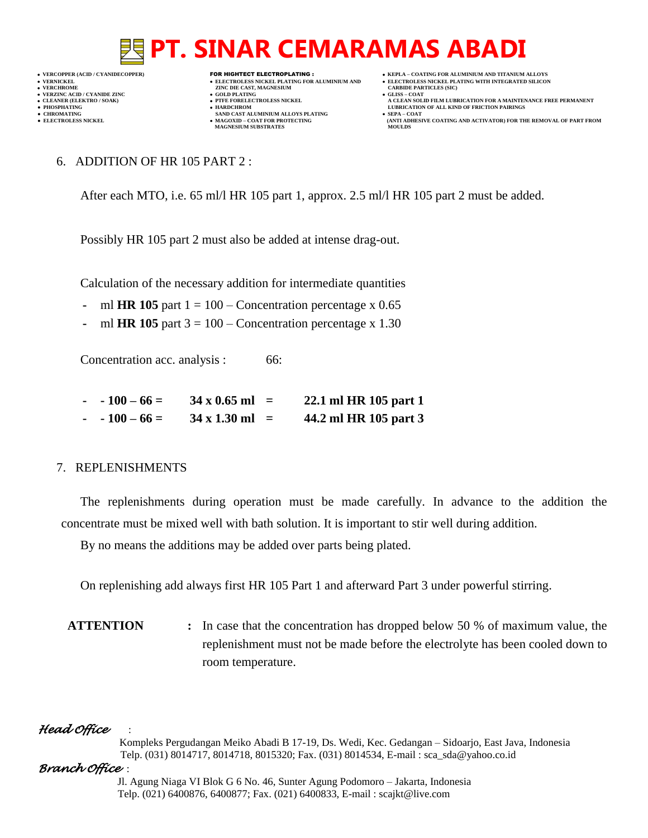

- 
- 

- **VERFORM ZINC DIE CAST, MAGNESIUM CARBIDE PARTICLES (SIC)**<br> **CARBIDE PARTING**
- 
- **PHOSPHATING HARDCHROM LUBRICATION OF ALL KIND OF FRICTION PAIRINGS ● CHROMATING SAND CAST ALUMINIUM ALLOYS PLATING SEPA – COAT MAGNESIUM SUBSTRATES MOULDS**
- **VERCOPPER (ACID / CYANIDECOPPER)** FOR HIGHTECT ELECTROPLATING :  **KEPLA – COATING FOR ALUMINIUM AND TITANIUM ALLOYS**
	-
- **CLEANER (ELEKTRO / SOAK) PTFE FORELECTROLESS NICKEL A CLEAN SOLID FILM LUBRICATION FOR A MAINTENANCE FREE PERMANENT**
- **● ELECTROLESS NICKEL MAGOXID – COAT FOR PROTECTING (ANTI ADHESIVE COATING AND ACTIVATOR) FOR THE REMOVAL OF PART FROM** 
	- 6. ADDITION OF HR 105 PART 2 :

After each MTO, i.e. 65 ml/l HR 105 part 1, approx. 2.5 ml/l HR 105 part 2 must be added.

Possibly HR 105 part 2 must also be added at intense drag-out.

Calculation of the necessary addition for intermediate quantities

- **-** ml **HR 105** part  $1 = 100$  Concentration percentage x 0.65
- **-** ml **HR 105** part 3 = 100 Concentration percentage x 1.30

Concentration acc. analysis : 66:

| $-100-66=$ | $34 \times 0.65$ ml =         | 22.1 ml HR 105 part 1 |
|------------|-------------------------------|-----------------------|
| $-100-66=$ | $34 \times 1.30 \text{ ml} =$ | 44.2 ml HR 105 part 3 |

### 7. REPLENISHMENTS

The replenishments during operation must be made carefully. In advance to the addition the concentrate must be mixed well with bath solution. It is important to stir well during addition.

By no means the additions may be added over parts being plated.

On replenishing add always first HR 105 Part 1 and afterward Part 3 under powerful stirring.

**ATTENTION :** In case that the concentration has dropped below 50 % of maximum value, the replenishment must not be made before the electrolyte has been cooled down to room temperature.

## *Head Office* :

 Kompleks Pergudangan Meiko Abadi B 17-19, Ds. Wedi, Kec. Gedangan – Sidoarjo, East Java, Indonesia Telp. (031) 8014717, 8014718, 8015320; Fax. (031) 8014534, E-mail : sca\_sda@yahoo.co.id

## *Branch Office* :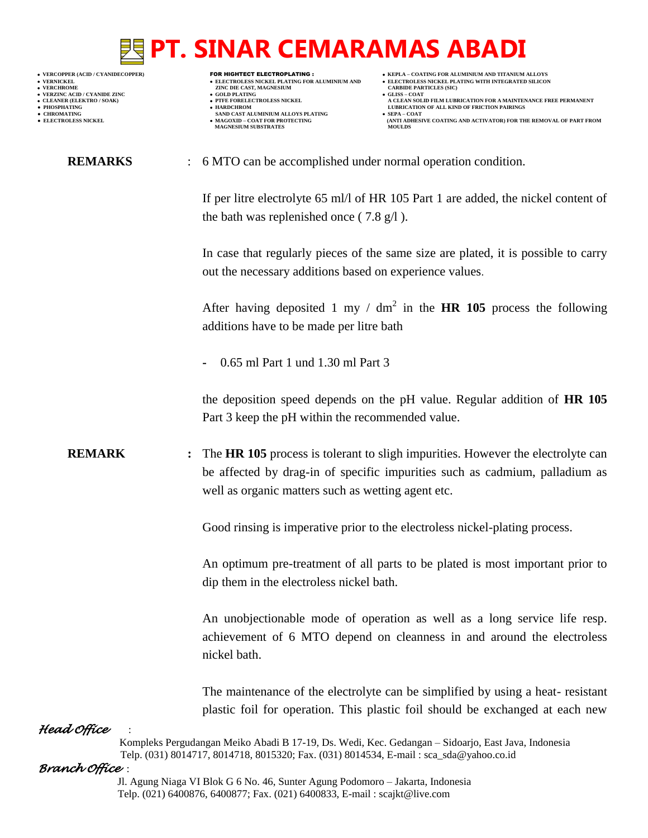- 
- 
- 
- 
- 
- -

- **VERNICKEL ELECTROLESS NICKEL PLATING FOR ALUMINIUM AND ELECTROLESS NICKEL PLATING WITH INTEGRATED SILICON VERFORM ZINC DIE CAST, MAGNESIUM CARBIDE PARTICLES (SIC)**<br> **CARBIDE PARTING**
- **VERZINC ACID / CYANIDE ZINC GOLD PLATING GLISS – COAT**
	-
- **● CHROMATING SAND CAST ALUMINIUM ALLOYS PLATING SEPA – COAT MAGNESIUM SUBSTRATES**
- **VERCOPPER (ACID / CYANIDECOPPER)** FOR HIGHTECT ELECTROPLATING :  **KEPLA – COATING FOR ALUMINIUM AND TITANIUM ALLOYS**
	-
- **CLEANER (ELEKTRO / SOAK) PTFE FORELECTROLESS NICKEL A CLEAN SOLID FILM LUBRICATION FOR A MAINTENANCE FREE PERMANENT**
- **PHOSPHATING HARDCHROM LUBRICATION OF ALL KIND OF FRICTION PAIRINGS** 
	- **ELECTROLESS AND ACTIVATOR) FOR THE REMOVAL OF PART FROM (ANTI ADHESIVE COATING AND ACTIVATOR) FOR THE REMOVAL OF PART FROM <b>MOULDS**
	- **REMARKS** : 6 MTO can be accomplished under normal operation condition.

If per litre electrolyte 65 ml/l of HR 105 Part 1 are added, the nickel content of the bath was replenished once  $(7.8 \text{ g}/\text{l})$ .

In case that regularly pieces of the same size are plated, it is possible to carry out the necessary additions based on experience values.

After having deposited 1 my /  $dm^2$  in the **HR 105** process the following additions have to be made per litre bath

**-** 0.65 ml Part 1 und 1.30 ml Part 3

the deposition speed depends on the pH value. Regular addition of **HR 105** Part 3 keep the pH within the recommended value.

**REMARK** : The **HR 105** process is tolerant to sligh impurities. However the electrolyte can be affected by drag-in of specific impurities such as cadmium, palladium as well as organic matters such as wetting agent etc.

Good rinsing is imperative prior to the electroless nickel-plating process.

An optimum pre-treatment of all parts to be plated is most important prior to dip them in the electroless nickel bath.

An unobjectionable mode of operation as well as a long service life resp. achievement of 6 MTO depend on cleanness in and around the electroless nickel bath.

The maintenance of the electrolyte can be simplified by using a heat- resistant plastic foil for operation. This plastic foil should be exchanged at each new

## *Head Office* :

 Kompleks Pergudangan Meiko Abadi B 17-19, Ds. Wedi, Kec. Gedangan – Sidoarjo, East Java, Indonesia Telp. (031) 8014717, 8014718, 8015320; Fax. (031) 8014534, E-mail : sca\_sda@yahoo.co.id

### *Branch Office* :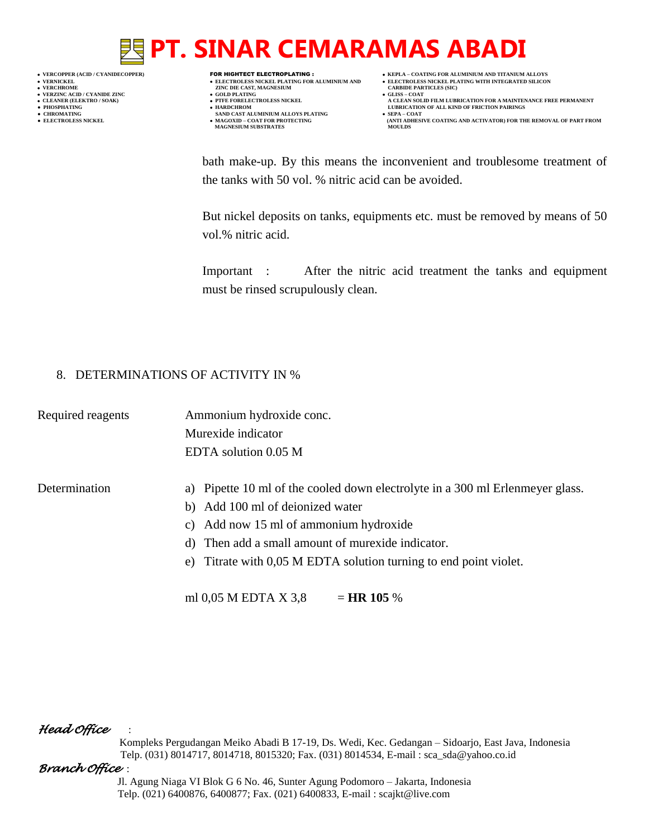- 
- 
- 
- 
- 
- 

- **VERNICKEL ELECTROLESS NICKEL PLATING FOR ALUMINIUM AND ELECTROLESS NICKEL PLATING WITH INTEGRATED SILICON VERT ASSESSED ASSESSED ASSESSED ASSESSED ASSESSED ASSESSED ASSESSED ASSESSED ASSESSED ASSESSED ASSESSED ASSESSED ASSESSED ASSESSED ASSESSED ASSESSED ASSESSED ASSESSED ASSESSED ASSESSED ASSESSED ASSESSED ASSESSED ASSESSED**
- **VERZINC ACID / CYANIDE ZINC GOLD PLATING GLISS – COAT**
- **PHOSPHATING HARDCHROM LUBRICATION OF ALL KIND OF FRICTION PAIRINGS**
- **● CHROMATING SAND CAST ALUMINIUM ALLOYS PLATING SEPA – COAT • MAGOXID – COAT FOR PROTECTING<br>MAGNESIUM SUBSTRATES**
- **VERCOPPER (ACID / CYANIDECOPPER)** FOR HIGHTECT ELECTROPLATING :  **KEPLA – COATING FOR ALUMINIUM AND TITANIUM ALLOYS**
	-
- **CLEANER (ELEKTRO / SOAK) PTFE FORELECTROLESS NICKEL A CLEAN SOLID FILM LUBRICATION FOR A MAINTENANCE FREE PERMANENT**
	- **ELECTROLESS AND ACTIVATOR) FOR THE REMOVAL OF PART FROM (ANTI ADHESIVE COATING AND ACTIVATOR) FOR THE REMOVAL OF PART FROM <b>MOULDS**

bath make-up. By this means the inconvenient and troublesome treatment of the tanks with 50 vol. % nitric acid can be avoided.

But nickel deposits on tanks, equipments etc. must be removed by means of 50 vol.% nitric acid.

Important : After the nitric acid treatment the tanks and equipment must be rinsed scrupulously clean.

## 8. DETERMINATIONS OF ACTIVITY IN %

Required reagents Ammonium hydroxide conc. Murexide indicator EDTA solution 0.05 M

### Determination a) Pipette 10 ml of the cooled down electrolyte in a 300 ml Erlenmeyer glass.

- b) Add 100 ml of deionized water
- c) Add now 15 ml of ammonium hydroxide
- d) Then add a small amount of murexide indicator.
- e) Titrate with 0,05 M EDTA solution turning to end point violet.

ml 0,05 M EDTA X 3,8  $=$  **HR 105** %

### *Head Office* :

 Kompleks Pergudangan Meiko Abadi B 17-19, Ds. Wedi, Kec. Gedangan – Sidoarjo, East Java, Indonesia Telp. (031) 8014717, 8014718, 8015320; Fax. (031) 8014534, E-mail : sca\_sda@yahoo.co.id

### *Branch Office* :